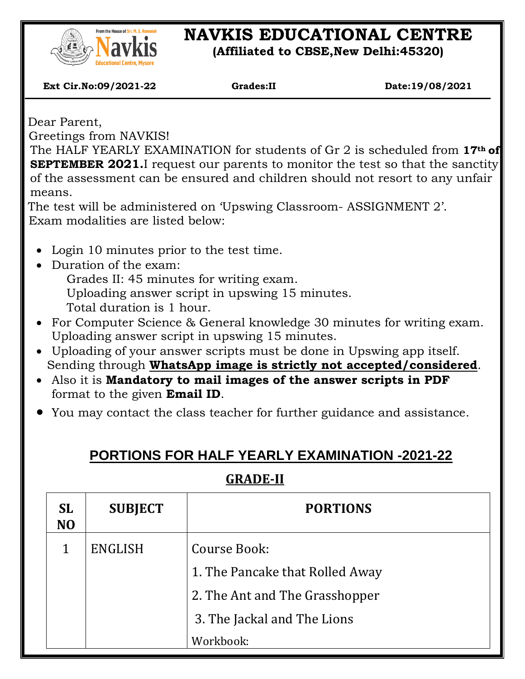

# **NAVKIS EDUCATIONAL CENTRE**

**(Affiliated to CBSE,New Delhi:45320)**

 **Ext Cir.No:09/2021-22 Grades:II Date:19/08/2021**

Dear Parent,

 $\overline{\phantom{a}}$ 

Greetings from NAVKIS!

The HALF YEARLY EXAMINATION for students of Gr 2 is scheduled from **17th of SEPTEMBER 2021.**I request our parents to monitor the test so that the sanctity of the assessment can be ensured and children should not resort to any unfair means.

The test will be administered on 'Upswing Classroom- ASSIGNMENT 2'. Exam modalities are listed below:

- Login 10 minutes prior to the test time.
- Duration of the exam:

Grades II: 45 minutes for writing exam. Uploading answer script in upswing 15 minutes.

Total duration is 1 hour.

- For Computer Science & General knowledge 30 minutes for writing exam. Uploading answer script in upswing 15 minutes.
- Uploading of your answer scripts must be done in Upswing app itself. Sending through **WhatsApp image is strictly not accepted/considered**.
- Also it is **Mandatory to mail images of the answer scripts in PDF** format to the given **Email ID**.
- You may contact the class teacher for further guidance and assistance.

## **PORTIONS FOR HALF YEARLY EXAMINATION -2021-22**

## **GRADE-II**

| <b>SL</b><br>N <sub>O</sub> | <b>SUBJECT</b> | <b>PORTIONS</b>                 |  |
|-----------------------------|----------------|---------------------------------|--|
| 1                           | ENGLISH        | Course Book:                    |  |
|                             |                | 1. The Pancake that Rolled Away |  |
|                             |                | 2. The Ant and The Grasshopper  |  |
|                             |                | 3. The Jackal and The Lions     |  |
|                             |                | Workbook:                       |  |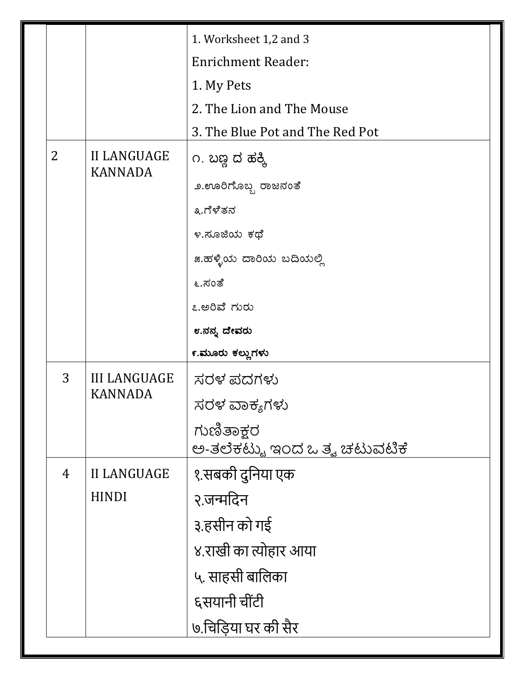|  |                |                                       | 1. Worksheet 1,2 and 3          |
|--|----------------|---------------------------------------|---------------------------------|
|  |                |                                       | <b>Enrichment Reader:</b>       |
|  |                |                                       | 1. My Pets                      |
|  |                |                                       | 2. The Lion and The Mouse       |
|  |                |                                       | 3. The Blue Pot and The Red Pot |
|  | $\overline{2}$ | <b>II LANGUAGE</b><br><b>KANNADA</b>  | ೧. ಬಣ್ಣ ದ ಹಕ್ಕಿ                 |
|  |                |                                       | ೨.ಊರಿಗೊಬ್ಬ ರಾಜನಂತೆ              |
|  |                |                                       | ೩.ಗೆಳೆತನ                        |
|  |                |                                       | ೪.ಸೂಜಿಯ ಕಥೆ                     |
|  |                |                                       | ೫.ಹಳ್ಳಿಯ ದಾರಿಯ ಬದಿಯಲ್ಲಿ         |
|  |                |                                       | ೬.ಸಂತೆ                          |
|  |                |                                       | ೭.ಅರಿವೆ ಗುರು                    |
|  |                |                                       | ೮.ನನ್ನ ದೇವರು                    |
|  |                |                                       | ೯.ಮೂರು ಕಲ್ಲುಗಳು                 |
|  | 3              | <b>III LANGUAGE</b><br><b>KANNADA</b> | ಸರಳ ಪದಗಳು                       |
|  |                |                                       | ಸರಳ ವಾಕ್ಯಗಳು                    |
|  |                |                                       | ಗುಣಿತಾಕ್ಷರ                      |
|  |                |                                       | ಅ-ತಲೆಕಟ್ಟು ಇಂದ್ದ ಒತ್ವ ಚಟುವಟಿಕೆ  |
|  | $\overline{4}$ | <b>II LANGUAGE</b>                    | १.सबकी दुनिया एक                |
|  |                | <b>HINDI</b>                          | २.जन्मदिन                       |
|  |                |                                       | ३.हसीन को गई                    |
|  |                |                                       | ४.राखी का त्योहार आया           |
|  |                |                                       | ५. साहसी बालिका                 |
|  |                |                                       | ६सयानी चींटी                    |
|  |                |                                       | ७.चिड़िया घर की सैर             |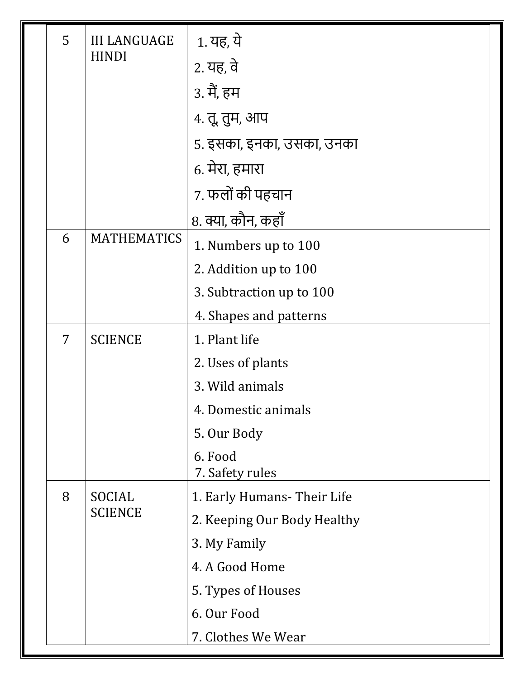|  | 5 | <b>III LANGUAGE</b><br><b>HINDI</b> | 1. यह, ये                   |
|--|---|-------------------------------------|-----------------------------|
|  |   |                                     | 2. यह, वे                   |
|  |   |                                     | 3. मैं, हम                  |
|  |   |                                     | 4. तू, तुम, आप              |
|  |   |                                     | 5. इसका, इनका, उसका, उनका   |
|  |   |                                     | 6. मेरा, हमारा              |
|  |   |                                     | 7. फलों की पहचान            |
|  |   |                                     | 8. क्या, कौन, कहाँ          |
|  | 6 | <b>MATHEMATICS</b>                  | 1. Numbers up to 100        |
|  |   |                                     | 2. Addition up to 100       |
|  |   |                                     | 3. Subtraction up to 100    |
|  |   |                                     | 4. Shapes and patterns      |
|  | 7 | <b>SCIENCE</b>                      | 1. Plant life               |
|  |   |                                     | 2. Uses of plants           |
|  |   |                                     | 3. Wild animals             |
|  |   |                                     | 4. Domestic animals         |
|  |   |                                     | 5. Our Body                 |
|  |   |                                     | 6. Food<br>7. Safety rules  |
|  | 8 | <b>SOCIAL</b><br><b>SCIENCE</b>     | 1. Early Humans-Their Life  |
|  |   |                                     | 2. Keeping Our Body Healthy |
|  |   |                                     | 3. My Family                |
|  |   |                                     | 4. A Good Home              |
|  |   |                                     | 5. Types of Houses          |
|  |   |                                     | 6. Our Food                 |
|  |   |                                     | 7. Clothes We Wear          |